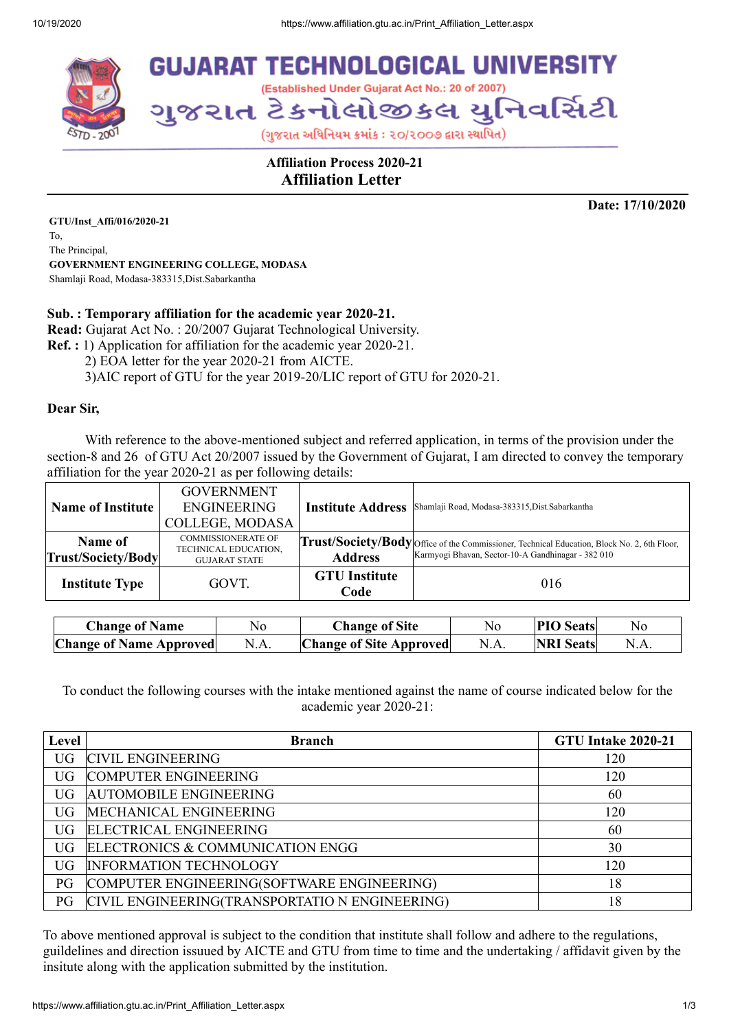

 **Affiliation Process 2020-21 Affiliation Letter**

**Date: 17/10/2020**

**GTU/Inst\_Affi/016/2020-21** To, The Principal, **GOVERNMENT ENGINEERING COLLEGE, MODASA** Shamlaji Road, Modasa-383315,Dist.Sabarkantha

## **Sub. : Temporary affiliation for the academic year 2020-21.**

**Read:** Gujarat Act No. : 20/2007 Gujarat Technological University.

**Ref. :** 1) Application for affiliation for the academic year 2020-21.

2) EOA letter for the year 2020-21 from AICTE.

3)AIC report of GTU for the year 2019-20/LIC report of GTU for 2020-21.

## **Dear Sir,**

With reference to the above-mentioned subject and referred application, in terms of the provision under the section-8 and 26 of GTU Act 20/2007 issued by the Government of Gujarat, I am directed to convey the temporary affiliation for the year 2020-21 as per following details:

| <b>Name of Institute</b>      | <b>GOVERNMENT</b><br><b>ENGINEERING</b><br><b>COLLEGE, MODASA</b>         | <b>Institute Address</b>     | Shamlaji Road, Modasa-383315, Dist. Sabarkantha                                                                                                   |
|-------------------------------|---------------------------------------------------------------------------|------------------------------|---------------------------------------------------------------------------------------------------------------------------------------------------|
| Name of<br>Trust/Society/Body | <b>COMMISSIONERATE OF</b><br>TECHNICAL EDUCATION,<br><b>GUJARAT STATE</b> | <b>Address</b>               | Trust/Society/Body Office of the Commissioner, Technical Education, Block No. 2, 6th Floor,<br>Karmyogi Bhavan, Sector-10-A Gandhinagar - 382 010 |
| <b>Institute Type</b>         | GOVT.                                                                     | <b>GTU</b> Institute<br>Code | 016                                                                                                                                               |

| <b>Change of Name</b>          | No   | <b>Change of Site</b>          | No   | <b>PIO</b> Seats | No   |
|--------------------------------|------|--------------------------------|------|------------------|------|
| <b>Change of Name Approved</b> | N.A. | <b>Change of Site Approved</b> | N.A. | <b>NRI</b> Seats | N.A. |

To conduct the following courses with the intake mentioned against the name of course indicated below for the academic year 2020-21:

| Level     | <b>Branch</b>                                  | GTU Intake 2020-21 |
|-----------|------------------------------------------------|--------------------|
| UG.       | <b>CIVIL ENGINEERING</b>                       | 120                |
| UG.       | <b>COMPUTER ENGINEERING</b>                    | 120                |
| UG.       | <b>AUTOMOBILE ENGINEERING</b>                  | 60                 |
| UG        | MECHANICAL ENGINEERING                         | 120                |
| UG.       | <b>ELECTRICAL ENGINEERING</b>                  | 60                 |
| UG.       | ELECTRONICS & COMMUNICATION ENGG               | 30                 |
| <b>UG</b> | <b>INFORMATION TECHNOLOGY</b>                  | 120                |
| PG        | COMPUTER ENGINEERING(SOFTWARE ENGINEERING)     | 18                 |
| PG        | CIVIL ENGINEERING(TRANSPORTATIO N ENGINEERING) | 18                 |

To above mentioned approval is subject to the condition that institute shall follow and adhere to the regulations, guildelines and direction issuued by AICTE and GTU from time to time and the undertaking / affidavit given by the insitute along with the application submitted by the institution.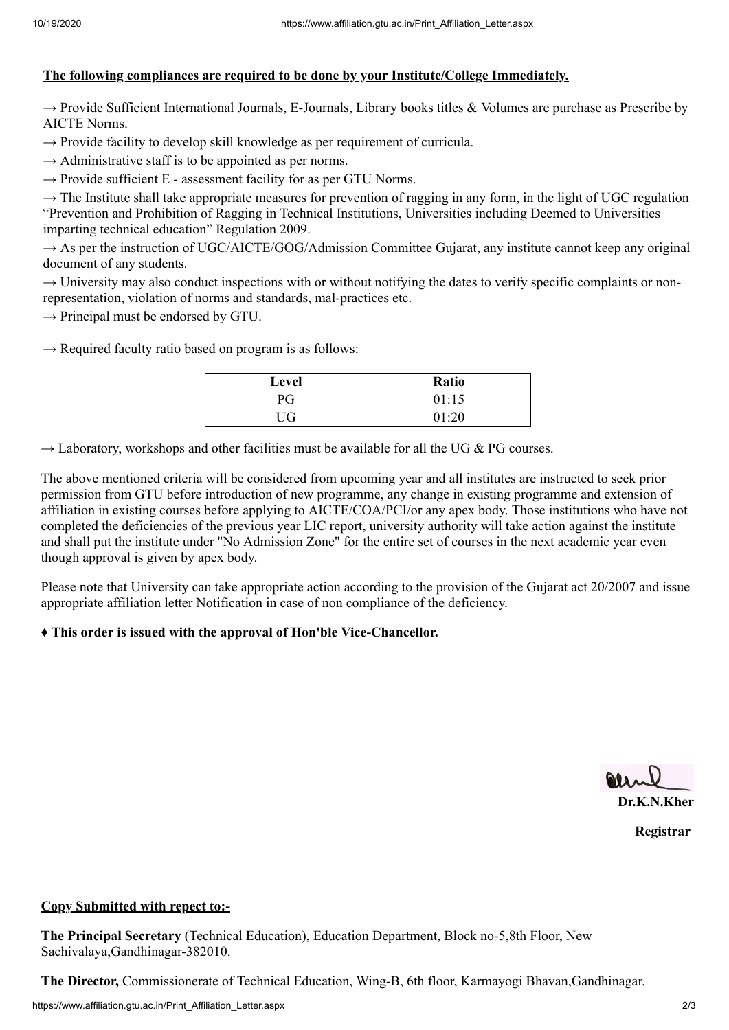# **The following compliances are required to be done by your Institute/College Immediately.**

 $\rightarrow$  Provide Sufficient International Journals, E-Journals, Library books titles & Volumes are purchase as Prescribe by AICTE Norms.

 $\rightarrow$  Provide facility to develop skill knowledge as per requirement of curricula.

 $\rightarrow$  Administrative staff is to be appointed as per norms.

 $\rightarrow$  Provide sufficient E - assessment facility for as per GTU Norms.

 $\rightarrow$  The Institute shall take appropriate measures for prevention of ragging in any form, in the light of UGC regulation "Prevention and Prohibition of Ragging in Technical Institutions, Universities including Deemed to Universities imparting technical education" Regulation 2009.

 $\rightarrow$  As per the instruction of UGC/AICTE/GOG/Admission Committee Gujarat, any institute cannot keep any original document of any students.

 $\rightarrow$  University may also conduct inspections with or without notifying the dates to verify specific complaints or nonrepresentation, violation of norms and standards, mal-practices etc.

 $\rightarrow$  Principal must be endorsed by GTU.

 $\rightarrow$  Required faculty ratio based on program is as follows:

| Level | <b>Ratio</b> |
|-------|--------------|
| РG    | 01:15        |
| UG    | 01:20        |

 $\rightarrow$  Laboratory, workshops and other facilities must be available for all the UG & PG courses.

The above mentioned criteria will be considered from upcoming year and all institutes are instructed to seek prior permission from GTU before introduction of new programme, any change in existing programme and extension of affiliation in existing courses before applying to AICTE/COA/PCI/or any apex body. Those institutions who have not completed the deficiencies of the previous year LIC report, university authority will take action against the institute and shall put the institute under "No Admission Zone" for the entire set of courses in the next academic year even though approval is given by apex body.

Please note that University can take appropriate action according to the provision of the Gujarat act 20/2007 and issue appropriate affiliation letter Notification in case of non compliance of the deficiency.

## **♦ This order is issued with the approval of Hon'ble Vice-Chancellor.**

**Dr.K.N.Kher**

**Registrar**

#### **Copy Submitted with repect to:-**

**The Principal Secretary** (Technical Education), Education Department, Block no-5,8th Floor, New Sachivalaya,Gandhinagar-382010.

**The Director,** Commissionerate of Technical Education, Wing-B, 6th floor, Karmayogi Bhavan,Gandhinagar.